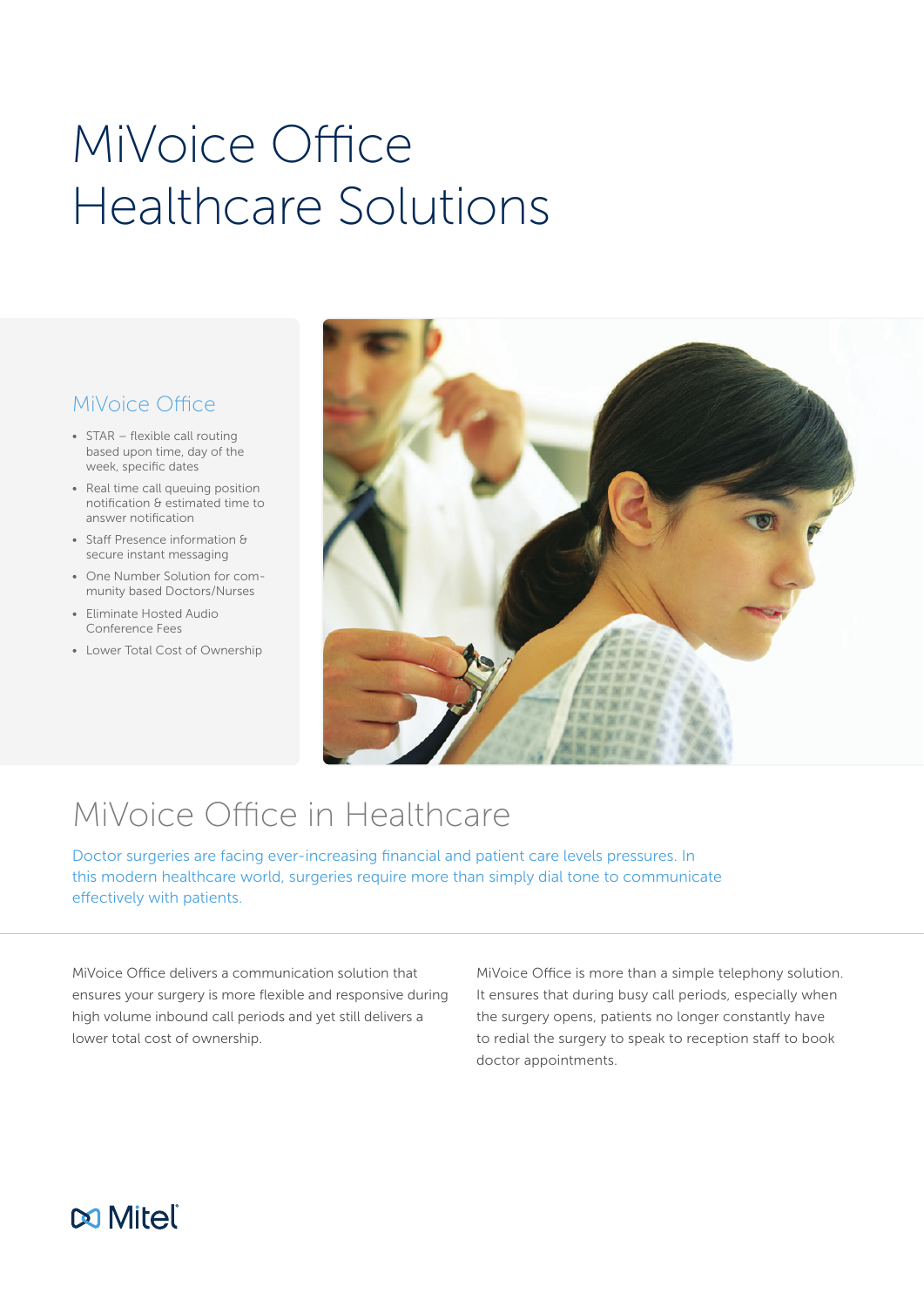# MiVoice Office Healthcare Solutions

### MiVoice Office

- STAR flexible call routing based upon time, day of the week, specific dates
- Real time call queuing position notification & estimated time to answer notification
- Staff Presence information & secure instant messaging
- One Number Solution for community based Doctors/Nurses
- Eliminate Hosted Audio Conference Fees
- Lower Total Cost of Ownership



## MiVoice Office in Healthcare

Doctor surgeries are facing ever-increasing financial and patient care levels pressures. In this modern healthcare world, surgeries require more than simply dial tone to communicate effectively with patients.

MiVoice Office delivers a communication solution that ensures your surgery is more flexible and responsive during high volume inbound call periods and yet still delivers a lower total cost of ownership.

MiVoice Office is more than a simple telephony solution. It ensures that during busy call periods, especially when the surgery opens, patients no longer constantly have to redial the surgery to speak to reception staff to book doctor appointments.

### **MMitel**